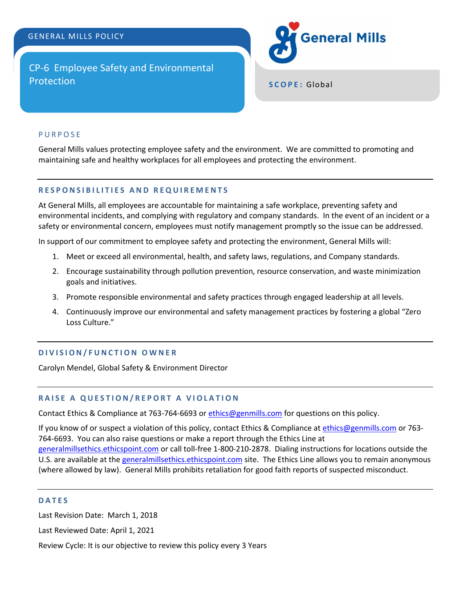# GENERAL MILLS POLICY

CP-6 Employee Safety and Environmental **Protection SCOPE:** Global



# **PURPOSE**

General Mills values protecting employee safety and the environment. We are committed to promoting and maintaining safe and healthy workplaces for all employees and protecting the environment.

### **R E S P O N S I B I L I T I E S A N D R E Q U I R E M E N T S**

At General Mills, all employees are accountable for maintaining a safe workplace, preventing safety and environmental incidents, and complying with regulatory and company standards. In the event of an incident or a safety or environmental concern, employees must notify management promptly so the issue can be addressed.

In support of our commitment to employee safety and protecting the environment, General Mills will:

- 1. Meet or exceed all environmental, health, and safety laws, regulations, and Company standards.
- 2. Encourage sustainability through pollution prevention, resource conservation, and waste minimization goals and initiatives.
- 3. Promote responsible environmental and safety practices through engaged leadership at all levels.
- 4. Continuously improve our environmental and safety management practices by fostering a global "Zero Loss Culture."

### **D I V I S I O N / F U N C T I O N O W N E R**

Carolyn Mendel, Global Safety & Environment Director

# **RAISE A QUESTION/REPORT A VIOLATION**

Contact Ethics & Compliance at 763-764-6693 or [ethics@genmills.com](mailto:ethics@genmills.com) for questions on this policy.

If you know of or suspect a violation of this policy, contact Ethics & Compliance a[t ethics@genmills.com](mailto:ethics@genmills.com) or 763- 764-6693. You can also raise questions or make a report through the Ethics Line at [generalmillsethics.ethicspoint.com](https://secure.ethicspoint.com/domain/media/en/gui/14580/index.html) or call toll-free 1-800-210-2878. Dialing instructions for locations outside the U.S. are available at the [generalmillsethics.ethicspoint.com](https://secure.ethicspoint.com/domain/media/en/gui/14580/report.html) site. The Ethics Line allows you to remain anonymous (where allowed by law). General Mills prohibits retaliation for good faith reports of suspected misconduct.

#### **D A T E S**

Last Revision Date: March 1, 2018

Last Reviewed Date: April 1, 2021

Review Cycle: It is our objective to review this policy every 3 Years